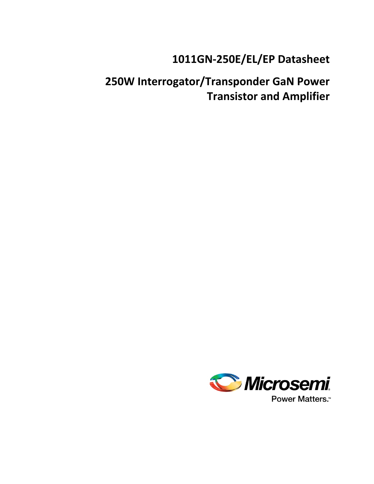# **1011GN-250E/EL/EP Datasheet**

# **250W Interrogator/Transponder GaN Power Transistor and Amplifier**

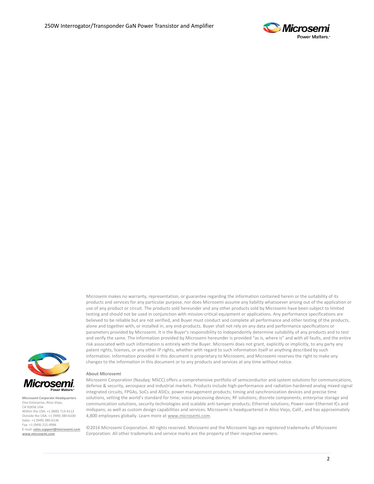

Microsemi makes no warranty, representation, or guarantee regarding the information contained herein or the suitability of its products and services for any particular purpose, nor does Microsemi assume any liability whatsoever arising out of the application or use of any product or circuit. The products sold hereunder and any other products sold by Microsemi have been subject to limited testing and should not be used in conjunction with mission-critical equipment or applications. Any performance specifications are believed to be reliable but are not verified, and Buyer must conduct and complete all performance and other testing of the products, alone and together with, or installed in, any end-products. Buyer shall not rely on any data and performance specifications or parameters provided by Microsemi. It is the Buyer's responsibility to independently determine suitability of any products and to test and verify the same. The information provided by Microsemi hereunder is provided "as is, where is" and with all faults, and the entire risk associated with such information is entirely with the Buyer. Microsemi does not grant, explicitly or implicitly, to any party any patent rights, licenses, or any other IP rights, whether with regard to such information itself or anything described by such information. Information provided in this document is proprietary to Microsemi, and Microsemi reserves the right to make any changes to the information in this document or to any products and services at any time without notice.



**Microsemi Corporate Headquarters** One Enterprise, Aliso Viejo, CA 92656 USA Within the USA: +1 (800) 713-4113 Outside the USA: +1 (949) 380-6100 Sales: +1 (949) 380-6136 Fax: +1 (949) 215-4996 E-mail: **[sales.support@microsemi.com](mailto:sales.support@microsemi.com) [www.microsemi.com](http://www.microsemi.com/)**

#### **About Microsemi**

Microsemi Corporation (Nasdaq: MSCC) offers a comprehensive portfolio of semiconductor and system solutions for communications, defense & security, aerospace and industrial markets. Products include high-performance and radiation-hardened analog mixed-signal integrated circuits, FPGAs, SoCs and ASICs; power management products; timing and synchronization devices and precise time solutions, setting the world's standard for time; voice processing devices; RF solutions; discrete components; enterprise storage and communication solutions, security technologies and scalable anti-tamper products; Ethernet solutions; Power-over-Ethernet ICs and midspans; as well as custom design capabilities and services. Microsemi is headquartered in Aliso Viejo, Calif., and has approximately 4,800 employees globally. Learn more a[t www.microsemi.com.](http://www.microsemi.com/)

©2016 Microsemi Corporation. All rights reserved. Microsemi and the Microsemi logo are registered trademarks of Microsemi Corporation. All other trademarks and service marks are the property of their respective owners.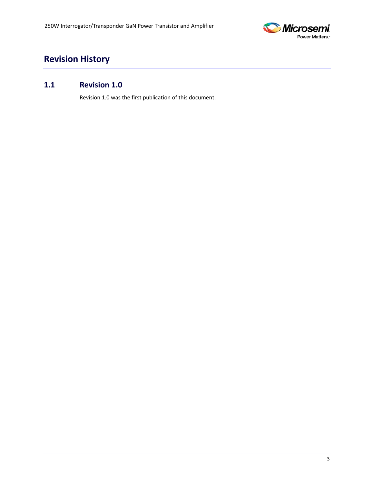

## <span id="page-2-0"></span>**Revision History**

### <span id="page-2-1"></span>**1.1 Revision 1.0**

Revision 1.0 was the first publication of this document.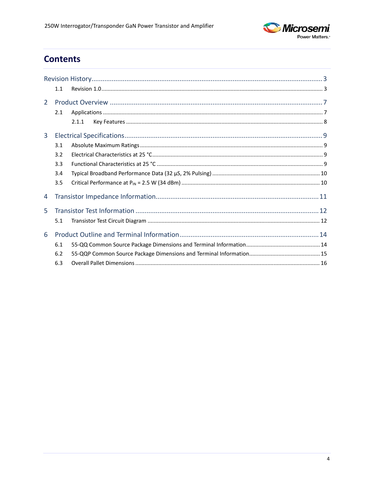

## **Contents**

|                | 1.1 |       |
|----------------|-----|-------|
| $\overline{2}$ |     |       |
|                | 2.1 |       |
|                |     | 2.1.1 |
| 3              |     |       |
|                | 3.1 |       |
|                | 3.2 |       |
|                | 3.3 |       |
|                | 3.4 |       |
|                | 3.5 |       |
| 4              |     |       |
| 5.             |     |       |
|                | 5.1 |       |
| 6              |     |       |
|                | 6.1 |       |
|                | 6.2 |       |
|                | 6.3 |       |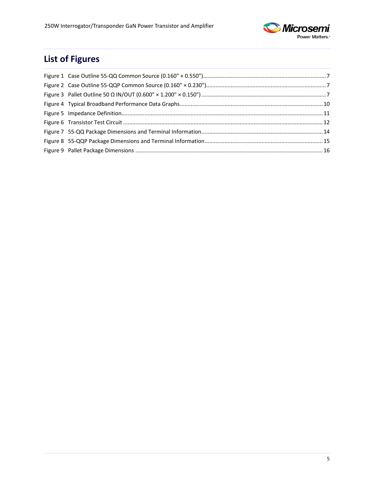

# **List of Figures**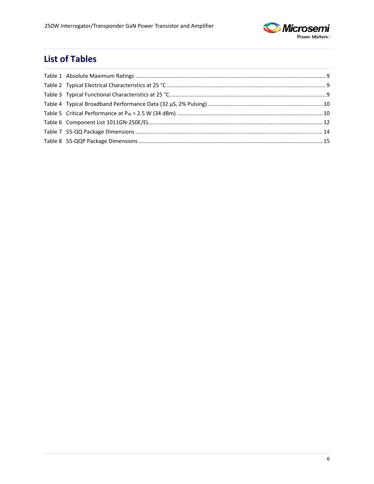

## **List of Tables**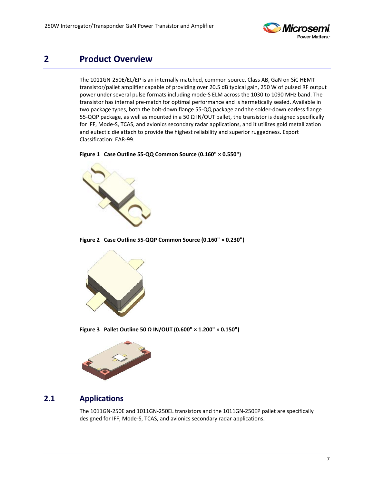

## <span id="page-6-0"></span>**2 Product Overview**

The 1011GN-250E/EL/EP is an internally matched, common source, Class AB, GaN on SiC HEMT transistor/pallet amplifier capable of providing over 20.5 dB typical gain, 250 W of pulsed RF output power under several pulse formats including mode-S ELM across the 1030 to 1090 MHz band. The transistor has internal pre-match for optimal performance and is hermetically sealed. Available in two package types, both the bolt-down flange 55-QQ package and the solder-down earless flange 55-QQP package, as well as mounted in a 50 Ω IN/OUT pallet, the transistor is designed specifically for IFF, Mode-S, TCAS, and avionics secondary radar applications, and it utilizes gold metallization and eutectic die attach to provide the highest reliability and superior ruggedness. Export Classification: EAR-99.

<span id="page-6-2"></span>**Figure 1 Case Outline 55-QQ Common Source (0.160" × 0.550")**



**Figure 2 Case Outline 55-QQP Common Source (0.160" × 0.230")**

<span id="page-6-3"></span>

**Figure 3 Pallet Outline 50 Ω IN/OUT (0.600" × 1.200" × 0.150")**

<span id="page-6-4"></span>

### <span id="page-6-1"></span>**2.1 Applications**

The 1011GN-250E and 1011GN-250EL transistors and the 1011GN-250EP pallet are specifically designed for IFF, Mode-S, TCAS, and avionics secondary radar applications.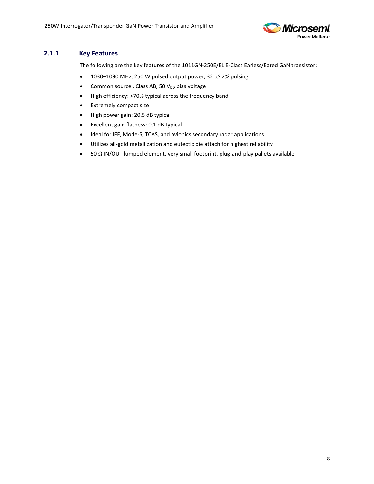

#### <span id="page-7-0"></span>**2.1.1 Key Features**

The following are the key features of the 1011GN-250E/EL E-Class Earless/Eared GaN transistor:

- 1030–1090 MHz, 250 W pulsed output power, 32 µS 2% pulsing
- Common source, Class AB, 50  $V_{DD}$  bias voltage
- High efficiency: >70% typical across the frequency band
- Extremely compact size
- High power gain: 20.5 dB typical
- Excellent gain flatness: 0.1 dB typical
- Ideal for IFF, Mode-S, TCAS, and avionics secondary radar applications
- Utilizes all-gold metallization and eutectic die attach for highest reliability
- 50 Ω IN/OUT lumped element, very small footprint, plug-and-play pallets available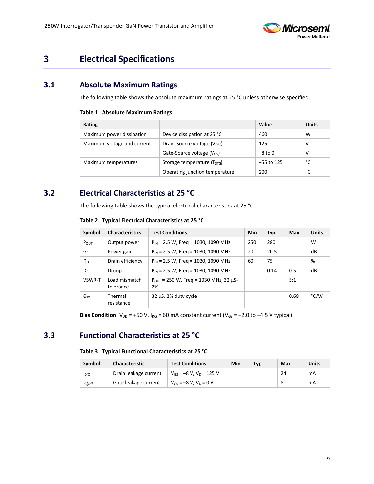

## <span id="page-8-0"></span>**3 Electrical Specifications**

### <span id="page-8-4"></span><span id="page-8-1"></span>**3.1 Absolute Maximum Ratings**

The following table shows the absolute maximum ratings at 25 °C unless otherwise specified.

#### **Table 1 Absolute Maximum Ratings**

| Rating                      |                                          | Value        | <b>Units</b> |
|-----------------------------|------------------------------------------|--------------|--------------|
| Maximum power dissipation   | Device dissipation at 25 °C              | 460          | w            |
| Maximum voltage and current | Drain-Source voltage (V <sub>DSS</sub> ) | 125          | ν            |
|                             | Gate-Source voltage $(V_{GS})$           | $-8$ to 0    | ν            |
| Maximum temperatures        | Storage temperature (T <sub>STG</sub> )  | $-55$ to 125 | °c           |
|                             | Operating junction temperature           | 200          | °c           |

### <span id="page-8-5"></span><span id="page-8-2"></span>**3.2 Electrical Characteristics at 25 °C**

The following table shows the typical electrical characteristics at 25 °C.

| Symbol                 | <b>Characteristics</b>     | <b>Test Conditions</b>                                | Min | <b>Typ</b> | Max  | <b>Units</b> |
|------------------------|----------------------------|-------------------------------------------------------|-----|------------|------|--------------|
| $P_{\text{OUT}}$       | Output power               | $P_{IN}$ = 2.5 W, Freq = 1030, 1090 MHz               | 250 | 280        |      | W            |
| G <sub>P</sub>         | Power gain                 | $P_{IN}$ = 2.5 W, Freg = 1030, 1090 MHz               | 20  | 20.5       |      | dB           |
| $n_{\rm p}$            | Drain efficiency           | $P_{IN}$ = 2.5 W, Freq = 1030, 1090 MHz               | 60  | 75         |      | %            |
| Dr                     | Droop                      | $P_{IN}$ = 2.5 W, Freq = 1030, 1090 MHz               |     | 0.14       | 0.5  | dB           |
| VSWR-T                 | Load mismatch<br>tolerance | $P_{OUT}$ = 250 W, Freq = 1030 MHz, 32 $\mu$ S-<br>2% |     |            | 5:1  |              |
| $\Theta$ <sub>IC</sub> | Thermal<br>resistance      | $32 \mu S$ , 2% duty cycle                            |     |            | 0.68 | °C/W         |

#### **Table 2 Typical Electrical Characteristics at 25 °C**

**Bias Condition**:  $V_{DD}$  = +50 V,  $I_{DQ}$  = 60 mA constant current ( $V_{GS}$  = -2.0 to -4.5 V typical)

### <span id="page-8-6"></span><span id="page-8-3"></span>**3.3 Functional Characteristics at 25 °C**

#### **Table 3 Typical Functional Characteristics at 25 °C**

| Symbol               | <b>Characteristic</b> | <b>Test Conditions</b>         | Min | <b>Typ</b> | Max | Units |
|----------------------|-----------------------|--------------------------------|-----|------------|-----|-------|
| D(Off)               | Drain leakage current | $V_{GS}$ = -8 V, $V_D$ = 125 V |     |            | 24  | mA    |
| I <sub>G</sub> (Off) | Gate leakage current  | $V_{GS} = -8 V$ . $V_D = 0 V$  |     |            |     | mA    |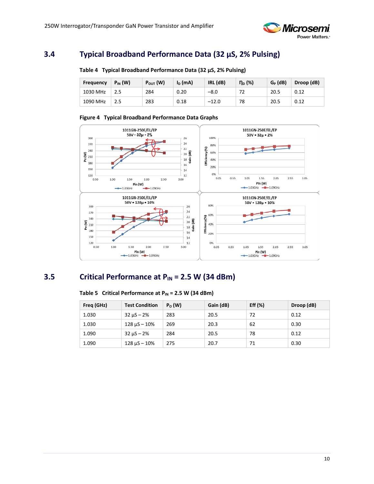

### <span id="page-9-3"></span><span id="page-9-0"></span>**3.4 Typical Broadband Performance Data (32 µS, 2% Pulsing)**

| <b>Frequency</b> | $P_{IN}$ (W) | $P_{OUT}$ (W) | $I_D$ (mA) | $IRL$ ( $dB$ ) | $\eta_{\text{D}}$ (%) | $G_P$ (dB) | Droop (dB) |
|------------------|--------------|---------------|------------|----------------|-----------------------|------------|------------|
| 1030 MHz         |              | 284           | 0.20       | $-8.0$         |                       | 20.5       | 0.12       |
| 1090 MHz         |              | 283           | 0.18       | $-12.0$        | 78                    | 20.5       | 0.12       |

#### **Table 4 Typical Broadband Performance Data (32 µS, 2% Pulsing)**

#### **Figure 4 Typical Broadband Performance Data Graphs**

<span id="page-9-2"></span>

### <span id="page-9-4"></span><span id="page-9-1"></span>**3.5 Critical Performance at PIN = 2.5 W (34 dBm)**

| Freq (GHz) | <b>Test Condition</b> | $P_0(W)$ | Gain (dB) | Eff $(\%)$ | Droop (dB) |
|------------|-----------------------|----------|-----------|------------|------------|
| 1.030      | $32 \mu S - 2\%$      | 283      | 20.5      | 72         | 0.12       |
| 1.030      | $128 \mu S - 10\%$    | 269      | 20.3      | 62         | 0.30       |
| 1.090      | $32 \mu S - 2\%$      | 284      | 20.5      | 78         | 0.12       |
| 1.090      | $128 \mu S - 10\%$    | 275      | 20.7      | 71         | 0.30       |

#### Table 5 Critical Performance at P<sub>IN</sub> = 2.5 W (34 dBm)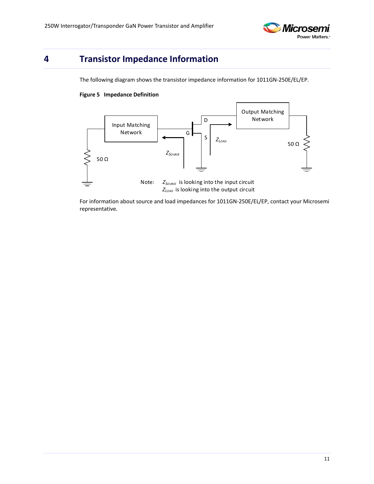

## <span id="page-10-1"></span><span id="page-10-0"></span>**4 Transistor Impedance Information**

The following diagram shows the transistor impedance information for 1011GN-250E/EL/EP.

#### **Figure 5 Impedance Definition**



For information about source and load impedances for 1011GN-250E/EL/EP, contact your Microsemi representative.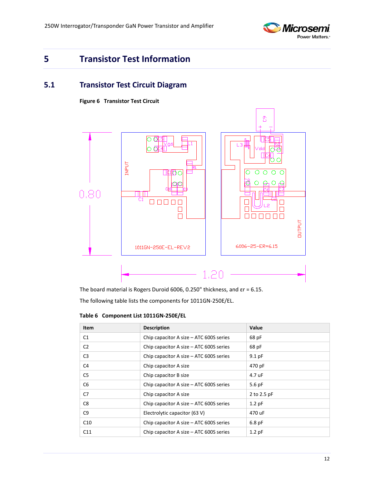

## <span id="page-11-0"></span>**5 Transistor Test Information**

### <span id="page-11-2"></span><span id="page-11-1"></span>**5.1 Transistor Test Circuit Diagram**

**Figure 6 Transistor Test Circuit**



The board material is Rogers Duroid 6006, 0.250" thickness, and εr = 6.15.

The following table lists the components for 1011GN-250E/EL.

<span id="page-11-3"></span>**Table 6 Component List 1011GN-250E/EL**

| <b>Item</b>    | <b>Description</b>                        | Value       |
|----------------|-------------------------------------------|-------------|
| C1             | Chip capacitor A size $-$ ATC 600S series | 68 pF       |
| C <sub>2</sub> | Chip capacitor A size $-$ ATC 600S series | 68 pF       |
| C <sub>3</sub> | Chip capacitor A size – ATC 600S series   | $9.1$ pF    |
| C4             | Chip capacitor A size                     | 470 pF      |
| C5             | Chip capacitor B size                     | 4.7 uF      |
| C <sub>6</sub> | Chip capacitor A size – ATC 600S series   | $5.6$ pF    |
| C7             | Chip capacitor A size                     | 2 to 2.5 pF |
| C8             | Chip capacitor A size $-$ ATC 600S series | $1.2$ pF    |
| C9             | Electrolytic capacitor (63 V)             | 470 uF      |
| C10            | Chip capacitor A size $-$ ATC 600S series | $6.8$ pF    |
| C11            | Chip capacitor A size – ATC 600S series   | $1.2$ pF    |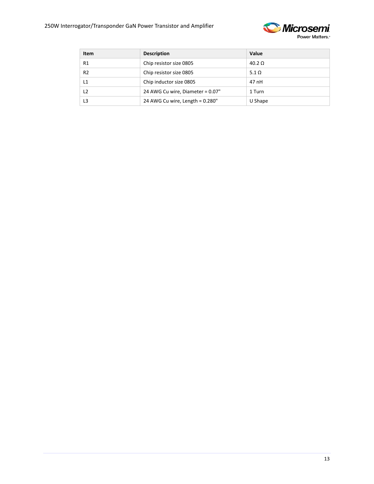

| Item           | <b>Description</b>               | Value         |
|----------------|----------------------------------|---------------|
| R1             | Chip resistor size 0805          | $40.2 \Omega$ |
| R <sub>2</sub> | Chip resistor size 0805          | 5.1 $\Omega$  |
| L1             | Chip inductor size 0805          | 47 nH         |
| L2             | 24 AWG Cu wire, Diameter = 0.07" | 1 Turn        |
| L3             | 24 AWG Cu wire, Length = 0.280"  | U Shape       |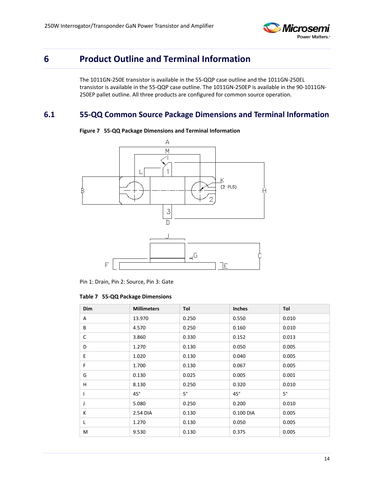

## <span id="page-13-0"></span>**6 Product Outline and Terminal Information**

The 1011GN-250E transistor is available in the 55-QQP case outline and the 1011GN-250EL transistor is available in the 55-QQP case outline. The 1011GN-250EP is available in the 90-1011GN-250EP pallet outline. All three products are configured for common source operation.

### <span id="page-13-2"></span><span id="page-13-1"></span>**6.1 55-QQ Common Source Package Dimensions and Terminal Information**



**Figure 7 55-QQ Package Dimensions and Terminal Information**

Pin 1: Drain, Pin 2: Source, Pin 3: Gate

#### <span id="page-13-3"></span>**Table 7 55-QQ Package Dimensions**

| Dim | <b>Millimeters</b> | Tol       | <b>Inches</b> | Tol       |
|-----|--------------------|-----------|---------------|-----------|
| Α   | 13.970             | 0.250     | 0.550         | 0.010     |
| B   | 4.570              | 0.250     | 0.160         | 0.010     |
| C   | 3.860              | 0.330     | 0.152         | 0.013     |
| D   | 1.270              | 0.130     | 0.050         | 0.005     |
| E   | 1.020              | 0.130     | 0.040         | 0.005     |
| F   | 1.700              | 0.130     | 0.067         | 0.005     |
| G   | 0.130              | 0.025     | 0.005         | 0.001     |
| н   | 8.130              | 0.250     | 0.320         | 0.010     |
| I   | $45^{\circ}$       | $5^\circ$ | $45^{\circ}$  | $5^\circ$ |
| J   | 5.080              | 0.250     | 0.200         | 0.010     |
| К   | 2.54 DIA           | 0.130     | 0.100 DIA     | 0.005     |
| L   | 1.270              | 0.130     | 0.050         | 0.005     |
| M   | 9.530              | 0.130     | 0.375         | 0.005     |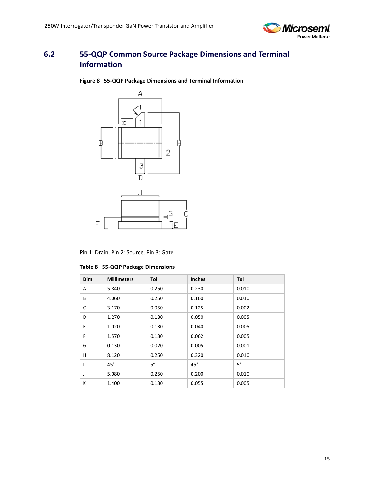

### <span id="page-14-1"></span><span id="page-14-0"></span>**6.2 55-QQP Common Source Package Dimensions and Terminal Information**

**Figure 8 55-QQP Package Dimensions and Terminal Information**



Pin 1: Drain, Pin 2: Source, Pin 3: Gate

| Dim | <b>Millimeters</b> | Tol       | <b>Inches</b> | Tol       |
|-----|--------------------|-----------|---------------|-----------|
| Α   | 5.840              | 0.250     | 0.230         | 0.010     |
| B   | 4.060              | 0.250     | 0.160         | 0.010     |
| C   | 3.170              | 0.050     | 0.125         | 0.002     |
| D   | 1.270              | 0.130     | 0.050         | 0.005     |
| E   | 1.020              | 0.130     | 0.040         | 0.005     |
| F   | 1.570              | 0.130     | 0.062         | 0.005     |
| G   | 0.130              | 0.020     | 0.005         | 0.001     |
| н   | 8.120              | 0.250     | 0.320         | 0.010     |
|     | $45^\circ$         | $5^\circ$ | $45^{\circ}$  | $5^\circ$ |
| J   | 5.080              | 0.250     | 0.200         | 0.010     |
| К   | 1.400              | 0.130     | 0.055         | 0.005     |

<span id="page-14-2"></span>**Table 8 55-QQP Package Dimensions**